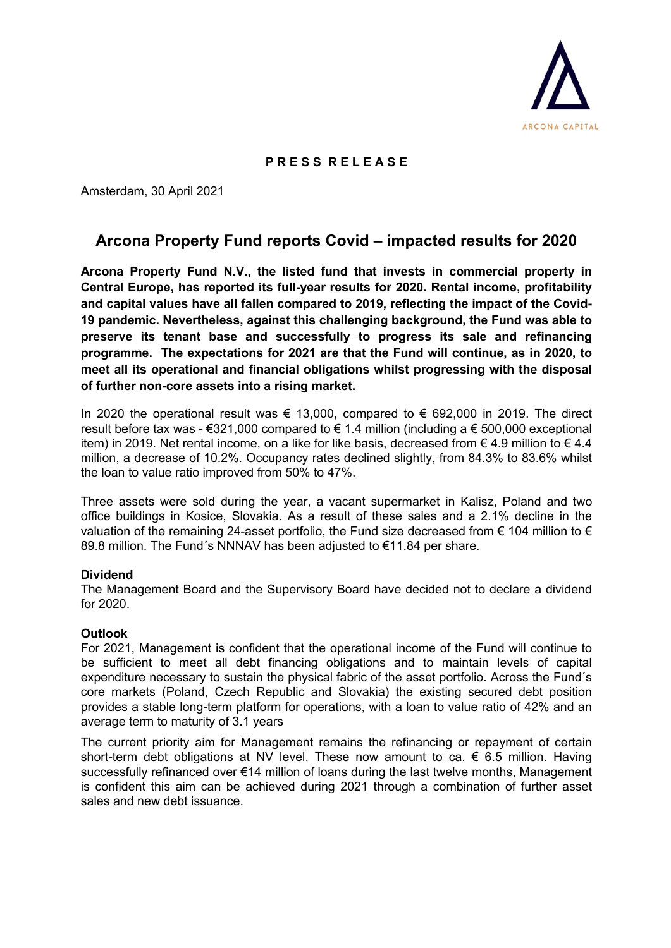

## **P R E S S R E L E A S E**

Amsterdam, 30 April 2021

# **Arcona Property Fund reports Covid – impacted results for 2020**

**Arcona Property Fund N.V., the listed fund that invests in commercial property in Central Europe, has reported its full-year results for 2020. Rental income, profitability and capital values have all fallen compared to 2019, reflecting the impact of the Covid-19 pandemic. Nevertheless, against this challenging background, the Fund was able to preserve its tenant base and successfully to progress its sale and refinancing programme. The expectations for 2021 are that the Fund will continue, as in 2020, to meet all its operational and financial obligations whilst progressing with the disposal of further non-core assets into a rising market.**

In 2020 the operational result was € 13,000, compared to € 692,000 in 2019. The direct result before tax was -  $\epsilon$ 321,000 compared to  $\epsilon$  1.4 million (including a  $\epsilon$  500,000 exceptional item) in 2019. Net rental income, on a like for like basis, decreased from € 4.9 million to € 4.4 million, a decrease of 10.2%. Occupancy rates declined slightly, from 84.3% to 83.6% whilst the loan to value ratio improved from 50% to 47%.

Three assets were sold during the year, a vacant supermarket in Kalisz, Poland and two office buildings in Kosice, Slovakia. As a result of these sales and a 2.1% decline in the valuation of the remaining 24-asset portfolio, the Fund size decreased from  $\epsilon$  104 million to  $\epsilon$ 89.8 million. The Fund´s NNNAV has been adjusted to €11.84 per share.

## **Dividend**

The Management Board and the Supervisory Board have decided not to declare a dividend for 2020.

#### **Outlook**

For 2021, Management is confident that the operational income of the Fund will continue to be sufficient to meet all debt financing obligations and to maintain levels of capital expenditure necessary to sustain the physical fabric of the asset portfolio. Across the Fund´s core markets (Poland, Czech Republic and Slovakia) the existing secured debt position provides a stable long-term platform for operations, with a loan to value ratio of 42% and an average term to maturity of 3.1 years

The current priority aim for Management remains the refinancing or repayment of certain short-term debt obligations at NV level. These now amount to ca.  $\epsilon$  6.5 million. Having successfully refinanced over €14 million of loans during the last twelve months, Management is confident this aim can be achieved during 2021 through a combination of further asset sales and new debt issuance.